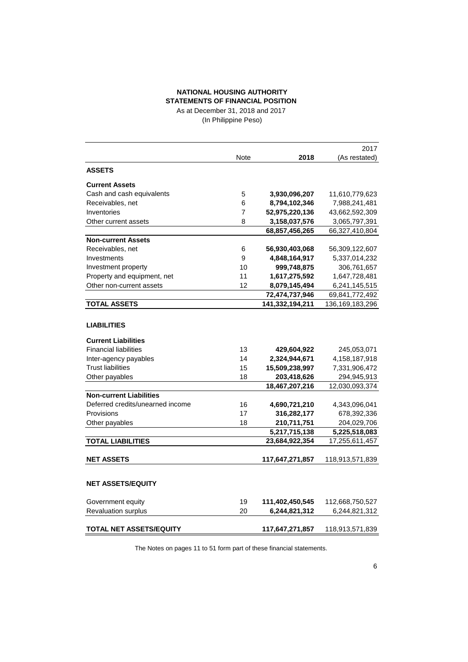# **NATIONAL HOUSING AUTHORITY STATEMENTS OF FINANCIAL POSITION**

As at December 31, 2018 and 2017 (In Philippine Peso)

|                                  |             |                 | 2017            |
|----------------------------------|-------------|-----------------|-----------------|
|                                  | <b>Note</b> | 2018            | (As restated)   |
| <b>ASSETS</b>                    |             |                 |                 |
| <b>Current Assets</b>            |             |                 |                 |
| Cash and cash equivalents        | 5           | 3,930,096,207   | 11,610,779,623  |
| Receivables, net                 | 6           | 8,794,102,346   | 7,988,241,481   |
| Inventories                      | 7           | 52,975,220,136  | 43,662,592,309  |
| Other current assets             | 8           | 3,158,037,576   | 3,065,797,391   |
|                                  |             | 68,857,456,265  | 66,327,410,804  |
| <b>Non-current Assets</b>        |             |                 |                 |
| Receivables, net                 | 6           | 56,930,403,068  | 56,309,122,607  |
| Investments                      | 9           | 4,848,164,917   | 5,337,014,232   |
| Investment property              | 10          | 999,748,875     | 306,761,657     |
| Property and equipment, net      | 11          | 1,617,275,592   | 1,647,728,481   |
| Other non-current assets         | 12          | 8,079,145,494   | 6,241,145,515   |
|                                  |             | 72,474,737,946  | 69,841,772,492  |
| <b>TOTAL ASSETS</b>              |             | 141,332,194,211 | 136,169,183,296 |
|                                  |             |                 |                 |
| <b>LIABILITIES</b>               |             |                 |                 |
| <b>Current Liabilities</b>       |             |                 |                 |
| <b>Financial liabilities</b>     | 13          | 429,604,922     | 245,053,071     |
| Inter-agency payables            | 14          | 2,324,944,671   | 4,158,187,918   |
| <b>Trust liabilities</b>         | 15          | 15,509,238,997  | 7,331,906,472   |
| Other payables                   | 18          | 203,418,626     | 294,945,913     |
|                                  |             | 18,467,207,216  | 12,030,093,374  |
| <b>Non-current Liabilities</b>   |             |                 |                 |
| Deferred credits/unearned income | 16          | 4,690,721,210   | 4,343,096,041   |
| Provisions                       | 17          | 316,282,177     | 678,392,336     |
| Other payables                   | 18          | 210,711,751     | 204,029,706     |
|                                  |             | 5,217,715,138   | 5,225,518,083   |
| <b>TOTAL LIABILITIES</b>         |             | 23,684,922,354  | 17,255,611,457  |
| <b>NET ASSETS</b>                |             | 117,647,271,857 | 118,913,571,839 |
|                                  |             |                 |                 |
| <b>NET ASSETS/EQUITY</b>         |             |                 |                 |
| Government equity                | 19          | 111,402,450,545 | 112,668,750,527 |
| Revaluation surplus              | 20          | 6,244,821,312   | 6,244,821,312   |
| <b>TOTAL NET ASSETS/EQUITY</b>   |             | 117,647,271,857 | 118,913,571,839 |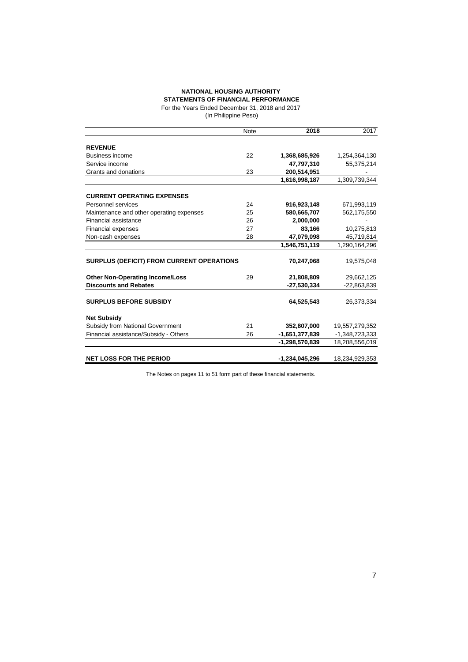### **NATIONAL HOUSING AUTHORITY**

**STATEMENTS OF FINANCIAL PERFORMANCE** For the Years Ended December 31, 2018 and 2017

(In Philippine Peso)

|                                           | Note | 2018             | 2017           |
|-------------------------------------------|------|------------------|----------------|
|                                           |      |                  |                |
| <b>REVENUE</b>                            |      |                  |                |
| Business income                           | 22   | 1,368,685,926    | 1,254,364,130  |
| Service income                            |      | 47,797,310       | 55,375,214     |
| Grants and donations                      | 23   | 200,514,951      |                |
|                                           |      | 1,616,998,187    | 1,309,739,344  |
| <b>CURRENT OPERATING EXPENSES</b>         |      |                  |                |
| Personnel services                        | 24   | 916,923,148      | 671,993,119    |
| Maintenance and other operating expenses  | 25   | 580,665,707      | 562,175,550    |
| Financial assistance                      | 26   | 2.000.000        |                |
| <b>Financial expenses</b>                 | 27   | 83,166           | 10,275,813     |
| Non-cash expenses                         | 28   | 47,079,098       | 45,719,814     |
|                                           |      | 1,546,751,119    | 1,290,164,296  |
| SURPLUS (DEFICIT) FROM CURRENT OPERATIONS |      | 70,247,068       | 19,575,048     |
| <b>Other Non-Operating Income/Loss</b>    | 29   | 21,808,809       | 29,662,125     |
| <b>Discounts and Rebates</b>              |      | $-27,530,334$    | $-22,863,839$  |
| <b>SURPLUS BEFORE SUBSIDY</b>             |      | 64,525,543       | 26,373,334     |
| <b>Net Subsidy</b>                        |      |                  |                |
| Subsidy from National Government          | 21   | 352,807,000      | 19,557,279,352 |
| Financial assistance/Subsidy - Others     | 26   | $-1,651,377,839$ | -1,348,723,333 |
|                                           |      | -1,298,570,839   | 18,208,556,019 |
| <b>NET LOSS FOR THE PERIOD</b>            |      | -1,234,045,296   | 18,234,929,353 |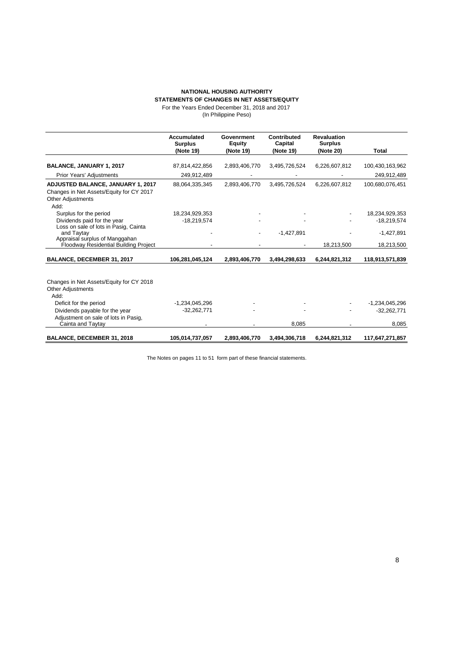# **NATIONAL HOUSING AUTHORITY**

**STATEMENTS OF CHANGES IN NET ASSETS/EQUITY**

For the Years Ended December 31, 2018 and 2017

|  | (In Philippine Peso) |  |
|--|----------------------|--|
|--|----------------------|--|

|                                                                                                                          | Accumulated<br><b>Surplus</b> | Govenrment<br><b>Equity</b> | Contributed<br>Capital | <b>Revaluation</b><br><b>Surplus</b> |                  |
|--------------------------------------------------------------------------------------------------------------------------|-------------------------------|-----------------------------|------------------------|--------------------------------------|------------------|
|                                                                                                                          | (Note 19)                     | (Note 19)                   | (Note 19)              | (Note 20)                            | Total            |
| BALANCE, JANUARY 1, 2017                                                                                                 |                               | 2,893,406,770               |                        |                                      | 100,430,163,962  |
|                                                                                                                          | 87,814,422,856                |                             | 3,495,726,524          | 6,226,607,812                        |                  |
| <b>Prior Years' Adjustments</b>                                                                                          | 249,912,489                   |                             |                        |                                      | 249,912,489      |
| <b>ADJUSTED BALANCE, JANUARY 1, 2017</b><br>Changes in Net Assets/Equity for CY 2017<br><b>Other Adjustments</b><br>Add: | 88,064,335,345                | 2,893,406,770               | 3,495,726,524          | 6,226,607,812                        | 100,680,076,451  |
| Surplus for the period                                                                                                   | 18,234,929,353                |                             |                        |                                      | 18,234,929,353   |
| Dividends paid for the year                                                                                              | $-18,219,574$                 |                             |                        |                                      | $-18,219,574$    |
| Loss on sale of lots in Pasig, Cainta                                                                                    |                               |                             |                        |                                      |                  |
| and Taytay                                                                                                               |                               |                             | $-1,427,891$           |                                      | $-1,427,891$     |
| Appraisal surplus of Manggahan                                                                                           |                               |                             |                        |                                      |                  |
| Floodway Residential Building Project                                                                                    |                               |                             |                        | 18,213,500                           | 18,213,500       |
| BALANCE, DECEMBER 31, 2017                                                                                               | 106,281,045,124               | 2,893,406,770               | 3,494,298,633          | 6,244,821,312                        | 118,913,571,839  |
| Changes in Net Assets/Equity for CY 2018                                                                                 |                               |                             |                        |                                      |                  |
| <b>Other Adjustments</b>                                                                                                 |                               |                             |                        |                                      |                  |
| Add:                                                                                                                     |                               |                             |                        |                                      |                  |
| Deficit for the period                                                                                                   | $-1,234,045,296$              |                             |                        |                                      | $-1,234,045,296$ |
| Dividends payable for the year                                                                                           | $-32,262,771$                 |                             |                        |                                      | $-32.262.771$    |
| Adjustment on sale of lots in Pasig,                                                                                     |                               |                             |                        |                                      |                  |
| Cainta and Taytay                                                                                                        |                               |                             | 8,085                  |                                      | 8,085            |
| BALANCE, DECEMBER 31, 2018                                                                                               | 105,014,737,057               | 2,893,406,770               | 3,494,306,718          | 6,244,821,312                        | 117,647,271,857  |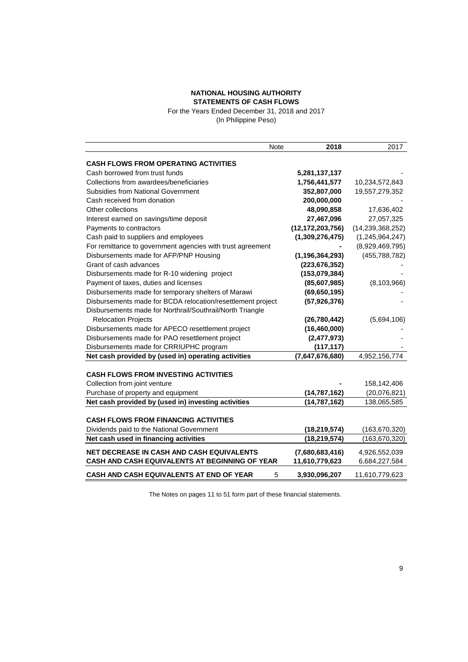#### **NATIONAL HOUSING AUTHORITY STATEMENTS OF CASH FLOWS**

For the Years Ended December 31, 2018 and 2017 (In Philippine Peso)

|                                                             | <b>Note</b> | 2018                | 2017                |
|-------------------------------------------------------------|-------------|---------------------|---------------------|
| <b>CASH FLOWS FROM OPERATING ACTIVITIES</b>                 |             |                     |                     |
| Cash borrowed from trust funds                              |             | 5,281,137,137       |                     |
| Collections from awardees/beneficiaries                     |             | 1,756,441,577       | 10,234,572,843      |
| <b>Subsidies from National Government</b>                   |             | 352,807,000         | 19,557,279,352      |
| Cash received from donation                                 |             | 200,000,000         |                     |
| Other collections                                           |             | 48,090,858          | 17,636,402          |
| Interest earned on savings/time deposit                     |             | 27,467,096          | 27,057,325          |
| Payments to contractors                                     |             | (12, 172, 203, 756) | (14, 239, 368, 252) |
| Cash paid to suppliers and employees                        |             | (1,309,276,475)     | (1,245,964,247)     |
| For remittance to government agencies with trust agreement  |             |                     | (8,929,469,795)     |
| Disbursements made for AFP/PNP Housing                      |             | (1, 196, 364, 293)  | (455, 788, 782)     |
| Grant of cash advances                                      |             | (223, 676, 352)     |                     |
| Disbursements made for R-10 widening project                |             | (153,079,384)       |                     |
| Payment of taxes, duties and licenses                       |             | (85,607,985)        | (8, 103, 966)       |
| Disbursements made for temporary shelters of Marawi         |             | (69, 650, 195)      |                     |
| Disbursements made for BCDA relocation/resettlement project |             | (57, 926, 376)      |                     |
| Disbursements made for Northrail/Southrail/North Triangle   |             |                     |                     |
| <b>Relocation Projects</b>                                  |             | (26, 780, 442)      | (5,694,106)         |
| Disbursements made for APECO resettlement project           |             | (16, 460, 000)      |                     |
| Disbursements made for PAO resettlement project             |             | (2,477,973)         |                     |
| Disbursements made for CRRIUPHC program                     |             | (117, 117)          |                     |
| Net cash provided by (used in) operating activities         |             | (7,647,676,680)     | 4,952,156,774       |
|                                                             |             |                     |                     |
| <b>CASH FLOWS FROM INVESTING ACTIVITIES</b>                 |             |                     |                     |
| Collection from joint venture                               |             |                     | 158,142,406         |
| Purchase of property and equipment                          |             | (14, 787, 162)      | (20,076,821)        |
| Net cash provided by (used in) investing activities         |             | (14, 787, 162)      | 138,065,585         |
|                                                             |             |                     |                     |
| <b>CASH FLOWS FROM FINANCING ACTIVITIES</b>                 |             |                     |                     |
| Dividends paid to the National Government                   |             | (18, 219, 574)      | (163, 670, 320)     |
| Net cash used in financing activities                       |             | (18, 219, 574)      | (163, 670, 320)     |
| <b>NET DECREASE IN CASH AND CASH EQUIVALENTS</b>            |             | (7,680,683,416)     | 4,926,552,039       |
| CASH AND CASH EQUIVALENTS AT BEGINNING OF YEAR              |             | 11,610,779,623      | 6,684,227,584       |
| <b>CASH AND CASH EQUIVALENTS AT END OF YEAR</b>             | 5           | 3,930,096,207       | 11,610,779,623      |